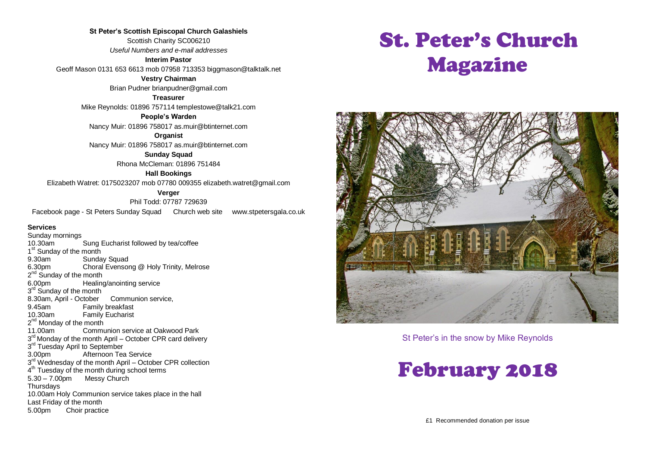**St Peter's Scottish Episcopal Church Galashiels** Scottish Charity SC006210 *Useful Numbers and e-mail addresses*

**Interim Pastor**

Geoff Mason 0131 653 6613 mob 07958 713353 biggmason@talktalk.net

**Vestry Chairman**

Brian Pudner brianpudner@gmail.com

**Treasurer**

Mike Reynolds: 01896 757114 templestowe@talk21.com

**People's Warden**

Nancy Muir: 01896 758017 as.muir@btinternet.com

**Organist** Nancy Muir: 01896 758017 as.muir@btinternet.com

> **Sunday Squad** Rhona McCleman: 01896 751484

> > **Hall Bookings**

Elizabeth Watret: 0175023207 mob 07780 009355 elizabeth.watret@gmail.com

**Verger**

Phil Todd: 07787 729639 Facebook page - St Peters Sunday Squad Church web site www.stpetersgala.co.uk

#### **Services**

Sunday mornings 10.30am Sung Eucharist followed by tea/coffee 1<sup>st</sup> Sunday of the month 9.30am Sunday Squad<br>6.30pm Choral Evensor Choral Evensong @ Holy Trinity, Melrose 2<sup>nd</sup> Sunday of the month 6.00pm Healing/anointing service 3<sup>rd</sup> Sunday of the month 8.30am, April - October Communion service, 9.45am Family breakfast<br>10.30am Family Fucharist **Family Eucharist** 2<sup>nd</sup> Monday of the month 11.00am Communion service at Oakwood Park 3<sup>rd</sup> Monday of the month April – October CPR card delivery 3<sup>rd</sup> Tuesday April to September 3.00pm Afternoon Tea Service 3<sup>rd</sup> Wednesday of the month April – October CPR collection 4<sup>th</sup> Tuesday of the month during school terms 5.30 – 7.00pm Messy Church **Thursdays** 10.00am Holy Communion service takes place in the hall Last Friday of the month 5.00pm Choir practice

# St. Peter's Church Magazine



St Peter's in the snow by Mike Reynolds

## February 2018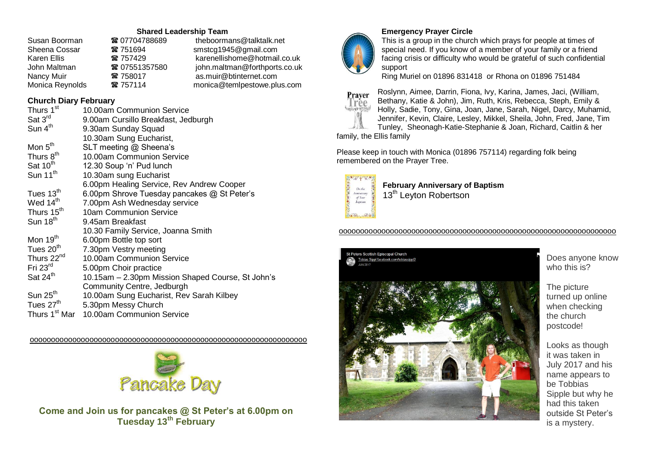#### **Shared Leadership Team**

| Susan Boorman   | ☎ 07704788689 | theboormans@talktalk.net      |
|-----------------|---------------|-------------------------------|
| Sheena Cossar   | ☎ 751694      | smstcg1945@gmail.com          |
| Karen Ellis     | ☎ 757429      | karenellishome@hotmail.co.uk  |
| John Maltman    | ■ 07551357580 | john.maltman@forthports.co.uk |
| Nancy Muir      | ☎ 758017      | as.muir@btinternet.com        |
| Monica Reynolds | ☎ 757114      | monica@temlpestowe.plus.com   |

#### **Church Diary February**

| Thurs 1 <sup>st</sup>     | 10.00am Communion Service                         |
|---------------------------|---------------------------------------------------|
| Sat 3rd                   | 9.00am Cursillo Breakfast, Jedburgh               |
| Sun 4 <sup>th</sup>       | 9.30am Sunday Squad                               |
|                           | 10.30am Sung Eucharist,                           |
| Mon 5 <sup>th</sup>       | SLT meeting @ Sheena's                            |
| Thurs 8 <sup>th</sup>     | 10.00am Communion Service                         |
| Sat 10 <sup>th</sup>      | 12.30 Soup 'n' Pud lunch                          |
| Sun 11 <sup>th</sup>      | 10.30am sung Eucharist                            |
|                           | 6.00pm Healing Service, Rev Andrew Cooper         |
| Tues 13 <sup>th</sup>     | 6.00pm Shrove Tuesday pancakes @ St Peter's       |
| Wed 14 <sup>th</sup>      | 7.00pm Ash Wednesday service                      |
| Thurs 15 <sup>th</sup>    | 10am Communion Service                            |
| Sun 18 <sup>th</sup>      | 9.45am Breakfast                                  |
|                           | 10.30 Family Service, Joanna Smith                |
| Mon 19 <sup>th</sup>      | 6.00pm Bottle top sort                            |
| Tues 20 <sup>th</sup>     | 7.30pm Vestry meeting                             |
| Thurs 22 <sup>nd</sup>    | 10.00am Communion Service                         |
| Fri $23rd$                | 5.00pm Choir practice                             |
| Sat 24 <sup>th</sup>      | 10.15am – 2.30pm Mission Shaped Course, St John's |
|                           | Community Centre, Jedburgh                        |
| Sun $25th$                | 10.00am Sung Eucharist, Rev Sarah Kilbey          |
| Tues 27 <sup>th</sup>     | 5.30pm Messy Church                               |
| Thurs 1 <sup>st</sup> Mar | 10.00am Communion Service                         |

ooooooooooooooooooooooooooooooooooooooooooooooooooooooooooooooooo



**Come and Join us for pancakes @ St Peter's at 6.00pm on Tuesday 13th February**



#### **Emergency Prayer Circle**

This is a group in the church which prays for people at times of special need. If you know of a member of your family or a friend facing crisis or difficulty who would be grateful of such confidential support

Ring Muriel on 01896 831418 or Rhona on 01896 751484



Roslynn, Aimee, Darrin, Fiona, Ivy, Karina, James, Jaci, (William, Bethany, Katie & John), Jim, Ruth, Kris, Rebecca, Steph, Emily & Holly, Sadie, Tony, Gina, Joan, Jane, Sarah, Nigel, Darcy, Muhamid, Jennifer, Kevin, Claire, Lesley, Mikkel, Sheila, John, Fred, Jane, Tim Tunley, Sheonagh-Katie-Stephanie & Joan, Richard, Caitlin & her

family, the Ellis family

Please keep in touch with Monica (01896 757114) regarding folk being remembered on the Prayer Tree.



**February Anniversary of Baptism** 13<sup>th</sup> Leyton Robertson

#### ooooooooooooooooooooooooooooooooooooooooooooooooooooooooooooooooo



Does anyone know who this is?

The picture turned up online when checking the church postcode!

Looks as though it was taken in July 2017 and his name appears to be Tobbias Sipple but why he had this taken outside St Peter's is a mystery.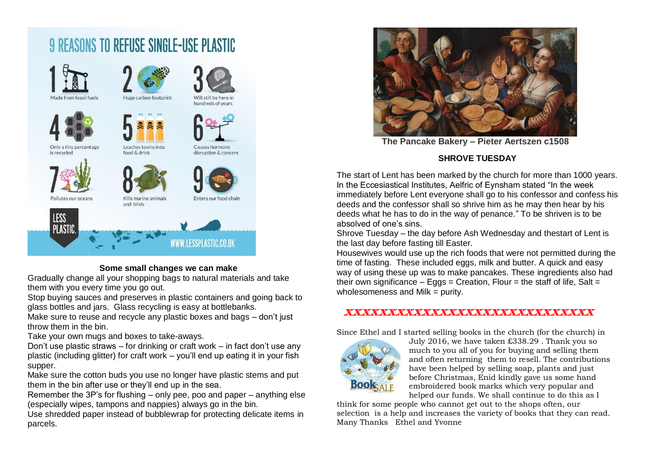



#### **Some small changes we can make**

Gradually change all your shopping bags to natural materials and take them with you every time you go out.

Stop buying sauces and preserves in plastic containers and going back to glass bottles and jars. Glass recycling is easy at bottlebanks.

Make sure to reuse and recycle any plastic boxes and bags – don't just throw them in the bin.

Take your own mugs and boxes to take-aways.

Don't use plastic straws – for drinking or craft work – in fact don't use any plastic (including glitter) for craft work – you'll end up eating it in your fish supper.

Make sure the cotton buds you use no longer have plastic stems and put them in the bin after use or they'll end up in the sea.

Remember the 3P's for flushing – only pee, poo and paper – anything else (especially wipes, tampons and nappies) always go in the bin.

Use shredded paper instead of bubblewrap for protecting delicate items in parcels.



**The Pancake Bakery – Pieter Aertszen c1508**

#### **SHROVE TUESDAY**

The start of Lent has been marked by the church for more than 1000 years. In the Eccesiastical Institutes, Aelfric of Eynsham stated "In the week immediately before Lent everyone shall go to his confessor and confess his deeds and the confessor shall so shrive him as he may then hear by his deeds what he has to do in the way of penance." To be shriven is to be absolved of one's sins.

Shrove Tuesday – the day before Ash Wednesday and thestart of Lent is the last day before fasting till Easter.

Housewives would use up the rich foods that were not permitted during the time of fasting. These included eggs, milk and butter. A quick and easy way of using these up was to make pancakes. These ingredients also had their own significance – Eggs = Creation, Flour = the staff of life, Salt = wholesomeness and Milk  $=$  purity.

#### xxxxxxxxxxxxxxxxxxxxxxxxxxxxx

Since Ethel and I started selling books in the church (for the church) in



July 2016, we have taken £338.29 . Thank you so much to you all of you for buying and selling them and often returning them to resell. The contributions have been helped by selling soap, plants and just before Christmas, Enid kindly gave us some hand embroidered book marks which very popular and helped our funds. We shall continue to do this as I

think for some people who cannot get out to the shops often, our selection is a help and increases the variety of books that they can read. Many Thanks Ethel and Yvonne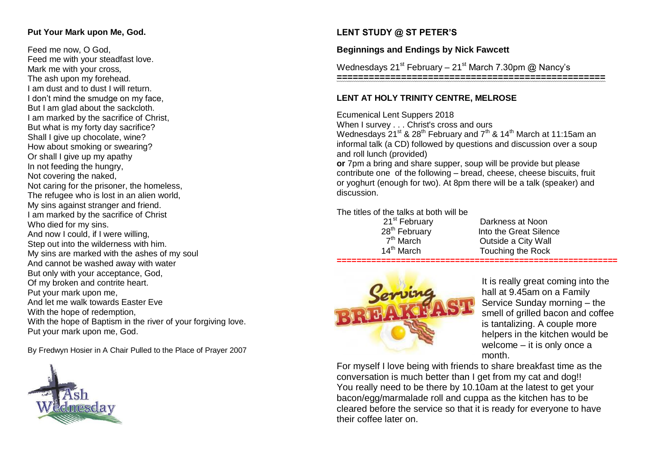#### **Put Your Mark upon Me, God.**

Feed me now, O God, Feed me with your steadfast love. Mark me with your cross, The ash upon my forehead. I am dust and to dust I will return. I don't mind the smudge on my face, But I am glad about the sackcloth. I am marked by the sacrifice of Christ, But what is my forty day sacrifice? Shall I give up chocolate, wine? How about smoking or swearing? Or shall I give up my apathy In not feeding the hungry, Not covering the naked, Not caring for the prisoner, the homeless, The refugee who is lost in an alien world, My sins against stranger and friend. I am marked by the sacrifice of Christ Who died for my sins. And now I could, if I were willing, Step out into the wilderness with him. My sins are marked with the ashes of my soul And cannot be washed away with water But only with your acceptance, God, Of my broken and contrite heart. Put your mark upon me, And let me walk towards Easter Eve With the hope of redemption. With the hope of Baptism in the river of your forgiving love. Put your mark upon me, God.

By Fredwyn Hosier in A Chair Pulled to the Place of Prayer 2007



### **LENT STUDY @ ST PETER'S**

#### **Beginnings and Endings by Nick Fawcett**

Wednesdays 21<sup>st</sup> February – 21<sup>st</sup> March 7.30pm @ Nancy's

**==================================================**

#### **LENT AT HOLY TRINITY CENTRE, MELROSE**

Ecumenical Lent Suppers 2018

When I survey . . . Christ's cross and ours

Wednesdays  $21^{st}$  &  $28^{th}$  February and  $7^{th}$  &  $14^{th}$  March at 11:15am an informal talk (a CD) followed by questions and discussion over a soup and roll lunch (provided)

**or** 7pm a bring and share supper, soup will be provide but please contribute one of the following – bread, cheese, cheese biscuits, fruit or yoghurt (enough for two). At 8pm there will be a talk (speaker) and discussion.

The titles of the talks at both will be

| 21 <sup>st</sup> February |
|---------------------------|
| 28 <sup>th</sup> February |
| 7 <sup>th</sup> March     |
| 14 <sup>th</sup> March    |

Darkness at Noon Into the Great Silence **Outside a City Wall** Touching the Rock **=========================================================**



It is really great coming into the hall at 9.45am on a Family Service Sunday morning – the smell of grilled bacon and coffee is tantalizing. A couple more helpers in the kitchen would be welcome – it is only once a month.

For myself I love being with friends to share breakfast time as the conversation is much better than I get from my cat and dog!! You really need to be there by 10.10am at the latest to get your bacon/egg/marmalade roll and cuppa as the kitchen has to be cleared before the service so that it is ready for everyone to have their coffee later on.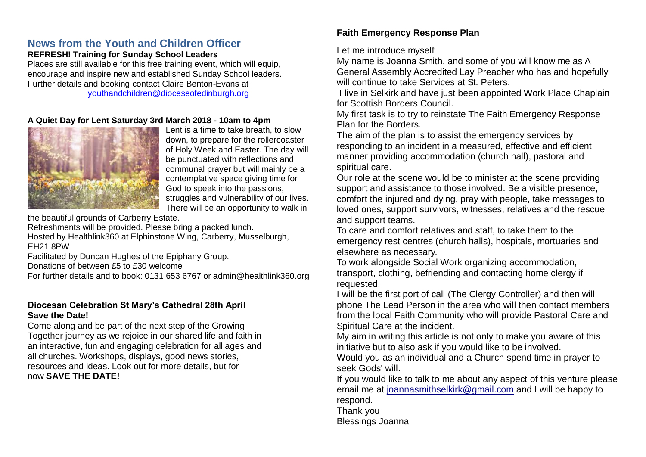## **News from the Youth and Children Officer**

#### **REFRESH! Training for Sunday School Leaders**

Places are still available for this free training event, which will equip, encourage and inspire new and established Sunday School leaders. Further details and booking contact Claire Benton-Evans at youthandchildren@dioceseofedinburgh.org

#### **A Quiet Day for Lent Saturday 3rd March 2018 - 10am to 4pm**



Lent is a time to take breath, to slow down, to prepare for the rollercoaster of Holy Week and Easter. The day will be punctuated with reflections and communal prayer but will mainly be a contemplative space giving time for God to speak into the passions, struggles and vulnerability of our lives. There will be an opportunity to walk in

the beautiful grounds of Carberry Estate.

Refreshments will be provided. Please bring a packed lunch.

Hosted by Healthlink360 at Elphinstone Wing, Carberry, Musselburgh, EH21 8PW

Facilitated by Duncan Hughes of the Epiphany Group.

Donations of between £5 to £30 welcome

For further details and to book: 0131 653 6767 or admin@healthlink360.org

#### **Diocesan Celebration St Mary's Cathedral 28th April Save the Date!**

Come along and be part of the next step of the Growing Together journey as we rejoice in our shared life and faith in an interactive, fun and engaging celebration for all ages and all churches. Workshops, displays, good news stories, resources and ideas. Look out for more details, but for now **SAVE THE DATE!**

## **Faith Emergency Response Plan**

Let me introduce myself

My name is Joanna Smith, and some of you will know me as A General Assembly Accredited Lay Preacher who has and hopefully will continue to take Services at St. Peters.

I live in Selkirk and have just been appointed Work Place Chaplain for Scottish Borders Council.

My first task is to try to reinstate The Faith Emergency Response Plan for the Borders.

The aim of the plan is to assist the emergency services by responding to an incident in a measured, effective and efficient manner providing accommodation (church hall), pastoral and spiritual care.

Our role at the scene would be to minister at the scene providing support and assistance to those involved. Be a visible presence, comfort the injured and dying, pray with people, take messages to loved ones, support survivors, witnesses, relatives and the rescue and support teams.

To care and comfort relatives and staff, to take them to the emergency rest centres (church halls), hospitals, mortuaries and elsewhere as necessary.

To work alongside Social Work organizing accommodation, transport, clothing, befriending and contacting home clergy if requested.

I will be the first port of call (The Clergy Controller) and then will phone The Lead Person in the area who will then contact members from the local Faith Community who will provide Pastoral Care and Spiritual Care at the incident.

My aim in writing this article is not only to make you aware of this initiative but to also ask if you would like to be involved.

Would you as an individual and a Church spend time in prayer to seek Gods' will.

If you would like to talk to me about any aspect of this venture please email me at [joannasmithselkirk@gmail.com](mailto:joannasmithselkirk@gmail.com) and I will be happy to respond.

Thank you

Blessings Joanna